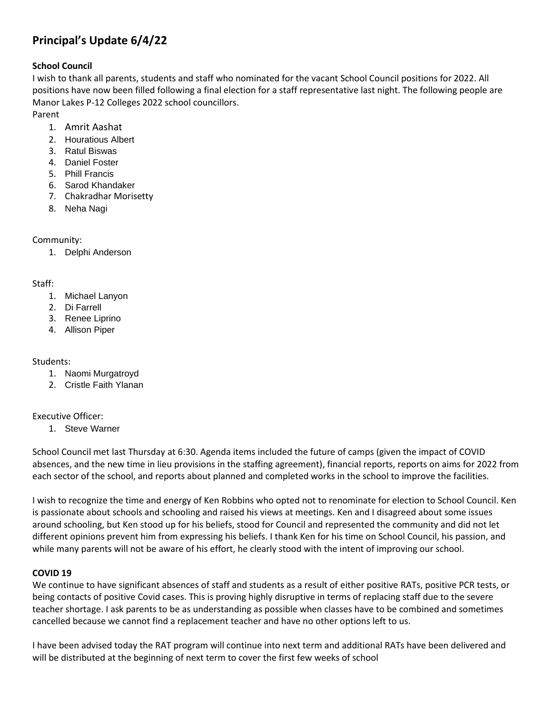# **Principal's Update 6/4/22**

## **School Council**

I wish to thank all parents, students and staff who nominated for the vacant School Council positions for 2022. All positions have now been filled following a final election for a staff representative last night. The following people are Manor Lakes P-12 Colleges 2022 school councillors.

Parent

- 1. Amrit Aashat
- 2. Houratious Albert
- 3. Ratul Biswas
- 4. Daniel Foster
- 5. Phill Francis
- 6. Sarod Khandaker
- 7. Chakradhar Morisetty
- 8. Neha Nagi

# Community:

1. Delphi Anderson

## Staff:

- 1. Michael Lanyon
- 2. Di Farrell
- 3. Renee Liprino
- 4. Allison Piper

# Students:

- 1. Naomi Murgatroyd
- 2. Cristle Faith Ylanan

# Executive Officer:

1. Steve Warner

School Council met last Thursday at 6:30. Agenda items included the future of camps (given the impact of COVID absences, and the new time in lieu provisions in the staffing agreement), financial reports, reports on aims for 2022 from each sector of the school, and reports about planned and completed works in the school to improve the facilities.

I wish to recognize the time and energy of Ken Robbins who opted not to renominate for election to School Council. Ken is passionate about schools and schooling and raised his views at meetings. Ken and I disagreed about some issues around schooling, but Ken stood up for his beliefs, stood for Council and represented the community and did not let different opinions prevent him from expressing his beliefs. I thank Ken for his time on School Council, his passion, and while many parents will not be aware of his effort, he clearly stood with the intent of improving our school.

# **COVID 19**

We continue to have significant absences of staff and students as a result of either positive RATs, positive PCR tests, or being contacts of positive Covid cases. This is proving highly disruptive in terms of replacing staff due to the severe teacher shortage. I ask parents to be as understanding as possible when classes have to be combined and sometimes cancelled because we cannot find a replacement teacher and have no other options left to us.

I have been advised today the RAT program will continue into next term and additional RATs have been delivered and will be distributed at the beginning of next term to cover the first few weeks of school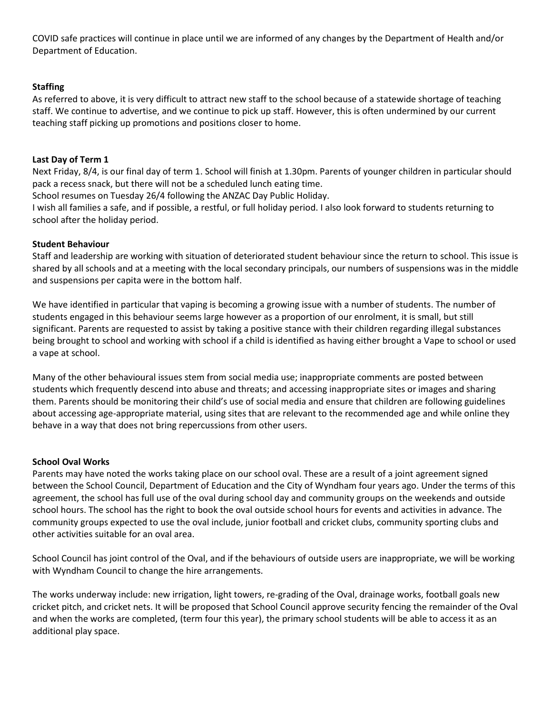COVID safe practices will continue in place until we are informed of any changes by the Department of Health and/or Department of Education.

## **Staffing**

As referred to above, it is very difficult to attract new staff to the school because of a statewide shortage of teaching staff. We continue to advertise, and we continue to pick up staff. However, this is often undermined by our current teaching staff picking up promotions and positions closer to home.

## **Last Day of Term 1**

Next Friday, 8/4, is our final day of term 1. School will finish at 1.30pm. Parents of younger children in particular should pack a recess snack, but there will not be a scheduled lunch eating time.

School resumes on Tuesday 26/4 following the ANZAC Day Public Holiday.

I wish all families a safe, and if possible, a restful, or full holiday period. I also look forward to students returning to school after the holiday period.

## **Student Behaviour**

Staff and leadership are working with situation of deteriorated student behaviour since the return to school. This issue is shared by all schools and at a meeting with the local secondary principals, our numbers of suspensions was in the middle and suspensions per capita were in the bottom half.

We have identified in particular that vaping is becoming a growing issue with a number of students. The number of students engaged in this behaviour seems large however as a proportion of our enrolment, it is small, but still significant. Parents are requested to assist by taking a positive stance with their children regarding illegal substances being brought to school and working with school if a child is identified as having either brought a Vape to school or used a vape at school.

Many of the other behavioural issues stem from social media use; inappropriate comments are posted between students which frequently descend into abuse and threats; and accessing inappropriate sites or images and sharing them. Parents should be monitoring their child's use of social media and ensure that children are following guidelines about accessing age-appropriate material, using sites that are relevant to the recommended age and while online they behave in a way that does not bring repercussions from other users.

## **School Oval Works**

Parents may have noted the works taking place on our school oval. These are a result of a joint agreement signed between the School Council, Department of Education and the City of Wyndham four years ago. Under the terms of this agreement, the school has full use of the oval during school day and community groups on the weekends and outside school hours. The school has the right to book the oval outside school hours for events and activities in advance. The community groups expected to use the oval include, junior football and cricket clubs, community sporting clubs and other activities suitable for an oval area.

School Council has joint control of the Oval, and if the behaviours of outside users are inappropriate, we will be working with Wyndham Council to change the hire arrangements.

The works underway include: new irrigation, light towers, re-grading of the Oval, drainage works, football goals new cricket pitch, and cricket nets. It will be proposed that School Council approve security fencing the remainder of the Oval and when the works are completed, (term four this year), the primary school students will be able to access it as an additional play space.